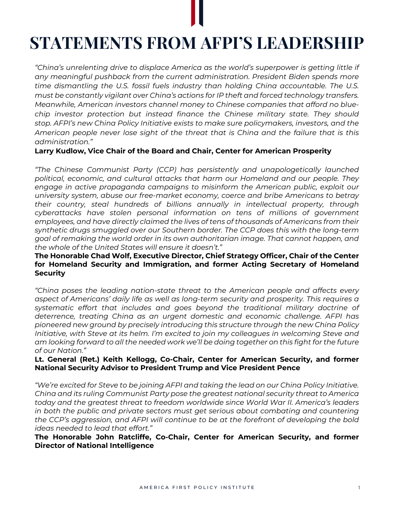# **STATEMENTS FROM AFPI'S LEADERSHIP**

*"China's unrelenting drive to displace America as the world's superpower is getting little if any meaningful pushback from the current administration. President Biden spends more time dismantling the U.S. fossil fuels industry than holding China accountable. The U.S. must be constantly vigilant over China's actions for IP theft and forced technology transfers. Meanwhile, American investors channel money to Chinese companies that afford no bluechip investor protection but instead finance the Chinese military state. They should stop. AFPI's new China Policy Initiative exists to make sure policymakers, investors, and the American people never lose sight of the threat that is China and the failure that is this administration."*

## **Larry Kudlow, Vice Chair of the Board and Chair, Center for American Prosperity**

*"The Chinese Communist Party (CCP) has persistently and unapologetically launched political, economic, and cultural attacks that harm our Homeland and our people. They*  engage in active propaganda campaigns to misinform the American public, exploit our *university system, abuse our free-market economy, coerce and bribe Americans to betray their country, steal hundreds of billions annually in intellectual property, through cyberattacks have stolen personal information on tens of millions of government employees, and have directly claimed the lives of tens of thousands of Americans from their synthetic drugs smuggled over our Southern border. The CCP does this with the long-term goal of remaking the world order in its own authoritarian image. That cannot happen, and the whole of the United States will ensure it doesn't."*

## **The Honorable Chad Wolf, Executive Director, Chief Strategy Officer, Chair of the Center for Homeland Security and Immigration, and former Acting Secretary of Homeland Security**

*"China poses the leading nation-state threat to the American people and affects every aspect of Americans' daily life as well as long-term security and prosperity. This requires a systematic effort that includes and goes beyond the traditional military doctrine of deterrence, treating China as an urgent domestic and economic challenge. AFPI has pioneered new ground by precisely introducing this structure through the new China Policy Initiative, with Steve at its helm. I'm excited to join my colleagues in welcoming Steve and am looking forward to all the needed work we'll be doing together on this fight for the future of our Nation."* 

## **Lt. General (Ret.) Keith Kellogg, Co-Chair, Center for American Security, and former National Security Advisor to President Trump and Vice President Pence**

*"We're excited for Steve to be joining AFPI and taking the lead on our China Policy Initiative. China and its ruling Communist Party pose the greatest national security threat to America today and the greatest threat to freedom worldwide since World War II. America's leaders in both the public and private sectors must get serious about combating and countering the CCP's aggression, and AFPI will continue to be at the forefront of developing the bold ideas needed to lead that effort."*

**The Honorable John Ratcliffe, Co-Chair, Center for American Security, and former Director of National Intelligence**